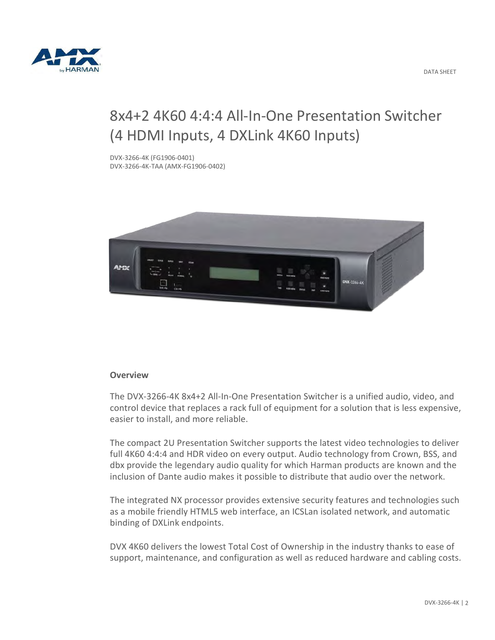

# 8x4+2 4K60 4:4:4 All-In-One Presentation Switcher (4 HDMI Inputs, 4 DXLink 4K60 Inputs)

DVX-3266-4K (FG1906-0401) DVX-3266-4K-TAA (AMX-FG1906-0402)



## **Overview**

The DVX-3266-4K 8x4+2 All-In-One Presentation Switcher is a unified audio, video, and control device that replaces a rack full of equipment for a solution that is less expensive, easier to install, and more reliable.

The compact 2U Presentation Switcher supports the latest video technologies to deliver full 4K60 4:4:4 and HDR video on every output. Audio technology from Crown, BSS, and dbx provide the legendary audio quality for which Harman products are known and the inclusion of Dante audio makes it possible to distribute that audio over the network.

The integrated NX processor provides extensive security features and technologies such as a mobile friendly HTML5 web interface, an ICSLan isolated network, and automatic binding of DXLink endpoints.

DVX 4K60 delivers the lowest Total Cost of Ownership in the industry thanks to ease of support, maintenance, and configuration as well as reduced hardware and cabling costs.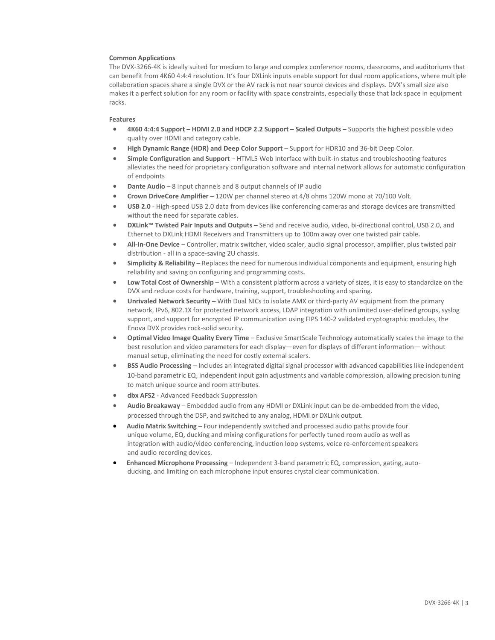### **Common Applications**

The DVX-3266-4K is ideally suited for medium to large and complex conference rooms, classrooms, and auditoriums that can benefit from 4K60 4:4:4 resolution. It's four DXLink inputs enable support for dual room applications, where multiple collaboration spaces share a single DVX or the AV rack is not near source devices and displays. DVX's small size also makes it a perfect solution for any room or facility with space constraints, especially those that lack space in equipment racks.

#### **Features**

- **4K60 4:4:4 Support HDMI 2.0 and HDCP 2.2 Support Scaled Outputs** Supports the highest possible video quality over HDMI and category cable.
- **High Dynamic Range (HDR) and Deep Color Support** Support for HDR10 and 36-bit Deep Color.
- **Simple Configuration and Support** HTML5 Web Interface with built-in status and troubleshooting features alleviates the need for proprietary configuration software and internal network allows for automatic configuration of endpoints
- **Dante Audio** 8 input channels and 8 output channels of IP audio
- **Crown DriveCore Amplifier** 120W per channel stereo at 4/8 ohms 120W mono at 70/100 Volt.
- **USB 2.0** High-speed USB 2.0 data from devices like conferencing cameras and storage devices are transmitted without the need for separate cables.
- **DXLink™ Twisted Pair Inputs and Outputs** Send and receive audio, video, bi-directional control, USB 2.0, and Ethernet to DXLink HDMI Receivers and Transmitters up to 100m away over one twisted pair cable**.**
- **All-In-One Device**  Controller, matrix switcher, video scaler, audio signal processor, amplifier, plus twisted pair distribution - all in a space-saving 2U chassis.
- **Simplicity & Reliability**  Replaces the need for numerous individual components and equipment, ensuring high reliability and saving on configuring and programming costs**.**
- **Low Total Cost of Ownership**  With a consistent platform across a variety of sizes, it is easy to standardize on the DVX and reduce costs for hardware, training, support, troubleshooting and sparing.
- **Unrivaled Network Security** With Dual NICs to isolate AMX or third-party AV equipment from the primary network, IPv6, 802.1X for protected network access, LDAP integration with unlimited user-defined groups, syslog support, and support for encrypted IP communication using FIPS 140-2 validated cryptographic modules, the Enova DVX provides rock-solid security**.**
- **Optimal Video Image Quality Every Time**  Exclusive SmartScale Technology automatically scales the image to the best resolution and video parameters for each display—even for displays of different information— without manual setup, eliminating the need for costly external scalers.
- **BSS Audio Processing** Includes an integrated digital signal processor with advanced capabilities like independent 10-band parametric EQ, independent input gain adjustments and variable compression, allowing precision tuning to match unique source and room attributes.
- **dbx AFS2** Advanced Feedback Suppression
- **Audio Breakaway**  Embedded audio from any HDMI or DXLink input can be de-embedded from the video, processed through the DSP, and switched to any analog, HDMI or DXLink output.
- • **Audio Matrix Switching**  Four independently switched and processed audio paths provide four unique volume, EQ, ducking and mixing configurations for perfectly tuned room audio as well as integration with audio/video conferencing, induction loop systems, voice re-enforcement speakers and audio recording devices.
- • **Enhanced Microphone Processing**  Independent 3-band parametric EQ, compression, gating, autoducking, and limiting on each microphone input ensures crystal clear communication.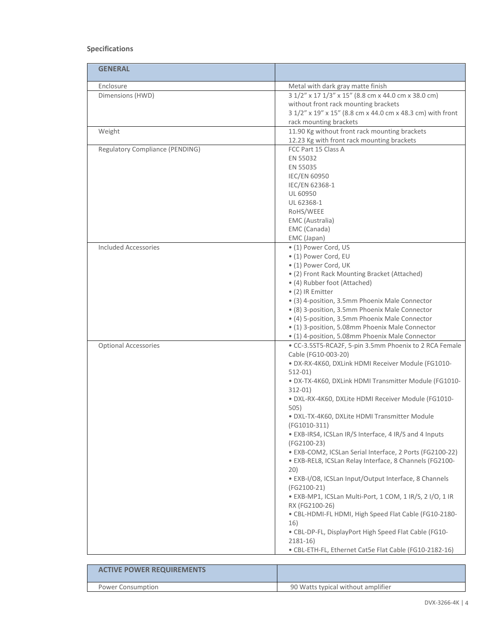## **Specifications**

| <b>GENERAL</b>                  |                                                                                                                                                                                                                                                                                                                                                                                                                                                                                                                                                                                                                                                                                                                                                                                                                                                                                                                       |
|---------------------------------|-----------------------------------------------------------------------------------------------------------------------------------------------------------------------------------------------------------------------------------------------------------------------------------------------------------------------------------------------------------------------------------------------------------------------------------------------------------------------------------------------------------------------------------------------------------------------------------------------------------------------------------------------------------------------------------------------------------------------------------------------------------------------------------------------------------------------------------------------------------------------------------------------------------------------|
| Enclosure                       | Metal with dark gray matte finish                                                                                                                                                                                                                                                                                                                                                                                                                                                                                                                                                                                                                                                                                                                                                                                                                                                                                     |
| Dimensions (HWD)                | 3 1/2" x 17 1/3" x 15" (8.8 cm x 44.0 cm x 38.0 cm)<br>without front rack mounting brackets<br>3 1/2" x 19" x 15" (8.8 cm x 44.0 cm x 48.3 cm) with front<br>rack mounting brackets                                                                                                                                                                                                                                                                                                                                                                                                                                                                                                                                                                                                                                                                                                                                   |
| Weight                          | 11.90 Kg without front rack mounting brackets<br>12.23 Kg with front rack mounting brackets                                                                                                                                                                                                                                                                                                                                                                                                                                                                                                                                                                                                                                                                                                                                                                                                                           |
| Regulatory Compliance (PENDING) | FCC Part 15 Class A<br>EN 55032<br>EN 55035<br><b>IEC/EN 60950</b><br>IEC/EN 62368-1<br>UL 60950<br>UL 62368-1<br>RoHS/WEEE<br>EMC (Australia)<br>EMC (Canada)<br>EMC (Japan)                                                                                                                                                                                                                                                                                                                                                                                                                                                                                                                                                                                                                                                                                                                                         |
| <b>Included Accessories</b>     | • (1) Power Cord, US<br>• (1) Power Cord, EU<br>• (1) Power Cord, UK<br>• (2) Front Rack Mounting Bracket (Attached)<br>• (4) Rubber foot (Attached)<br>• (2) IR Emitter<br>• (3) 4-position, 3.5mm Phoenix Male Connector<br>• (8) 3-position, 3.5mm Phoenix Male Connector<br>• (4) 5-position, 3.5mm Phoenix Male Connector<br>• (1) 3-position, 5.08mm Phoenix Male Connector<br>• (1) 4-position, 5.08mm Phoenix Male Connector                                                                                                                                                                                                                                                                                                                                                                                                                                                                                  |
| <b>Optional Accessories</b>     | · CC-3.5ST5-RCA2F, 5-pin 3.5mm Phoenix to 2 RCA Female<br>Cable (FG10-003-20)<br>· DX-RX-4K60, DXLink HDMI Receiver Module (FG1010-<br>$512-01$<br>· DX-TX-4K60, DXLink HDMI Transmitter Module (FG1010-<br>$312 - 01$<br>· DXL-RX-4K60, DXLite HDMI Receiver Module (FG1010-<br>505)<br>· DXL-TX-4K60, DXLite HDMI Transmitter Module<br>(FG1010-311)<br>• EXB-IRS4, ICSLan IR/S Interface, 4 IR/S and 4 Inputs<br>(FG2100-23)<br>· EXB-COM2, ICSLan Serial Interface, 2 Ports (FG2100-22)<br>· EXB-REL8, ICSLan Relay Interface, 8 Channels (FG2100-<br>20)<br>· EXB-I/O8, ICSLan Input/Output Interface, 8 Channels<br>(FG2100-21)<br>· EXB-MP1, ICSLan Multi-Port, 1 COM, 1 IR/S, 2 I/O, 1 IR<br>RX (FG2100-26)<br>· CBL-HDMI-FL HDMI, High Speed Flat Cable (FG10-2180-<br>16)<br>. CBL-DP-FL, DisplayPort High Speed Flat Cable (FG10-<br>$2181 - 16$<br>• CBL-ETH-FL, Ethernet Cat5e Flat Cable (FG10-2182-16) |

| <b>ACTIVE POWER REQUIREMENTS</b> |                                    |
|----------------------------------|------------------------------------|
| Power Consumption                | 90 Watts typical without amplifier |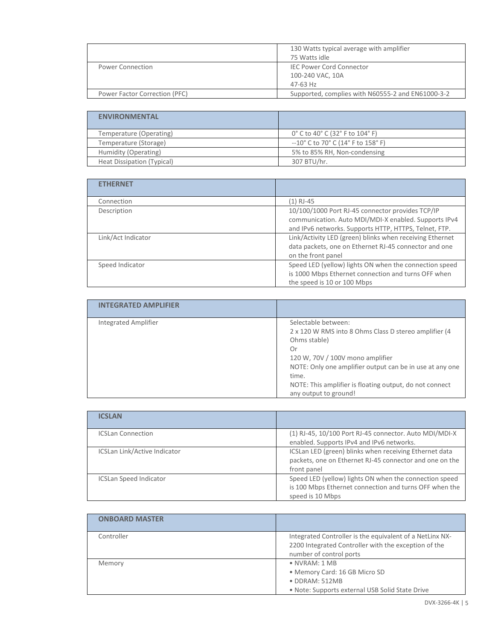|                               | 130 Watts typical average with amplifier<br>75 Watts idle       |
|-------------------------------|-----------------------------------------------------------------|
| Power Connection              | <b>IEC Power Cord Connector</b><br>100-240 VAC, 10A<br>47-63 Hz |
| Power Factor Correction (PFC) | Supported, complies with N60555-2 and EN61000-3-2               |

| <b>ENVIRONMENTAL</b>              |                                                                          |
|-----------------------------------|--------------------------------------------------------------------------|
| Temperature (Operating)           | 0° C to 40° C (32° F to 104° F)                                          |
| Temperature (Storage)             | $-10^{\circ}$ C to 70 $^{\circ}$ C (14 $^{\circ}$ F to 158 $^{\circ}$ F) |
| Humidity (Operating)              | 5% to 85% RH, Non-condensing                                             |
| <b>Heat Dissipation (Typical)</b> | 307 BTU/hr.                                                              |

| <b>ETHERNET</b>    |                                                          |
|--------------------|----------------------------------------------------------|
| Connection         | $(1)$ RJ-45                                              |
| Description        | 10/100/1000 Port RJ-45 connector provides TCP/IP         |
|                    | communication. Auto MDI/MDI-X enabled. Supports IPv4     |
|                    | and IPv6 networks. Supports HTTP, HTTPS, Telnet, FTP.    |
| Link/Act Indicator | Link/Activity LED (green) blinks when receiving Ethernet |
|                    | data packets, one on Ethernet RJ-45 connector and one    |
|                    | on the front panel                                       |
| Speed Indicator    | Speed LED (yellow) lights ON when the connection speed   |
|                    | is 1000 Mbps Ethernet connection and turns OFF when      |
|                    | the speed is 10 or 100 Mbps                              |

| <b>INTEGRATED AMPLIFIER</b> |                                                                                                                                                                                                                                                                                                 |
|-----------------------------|-------------------------------------------------------------------------------------------------------------------------------------------------------------------------------------------------------------------------------------------------------------------------------------------------|
| Integrated Amplifier        | Selectable between:<br>2 x 120 W RMS into 8 Ohms Class D stereo amplifier (4<br>Ohms stable)<br>Or<br>120 W, 70V / 100V mono amplifier<br>NOTE: Only one amplifier output can be in use at any one<br>time.<br>NOTE: This amplifier is floating output, do not connect<br>any output to ground! |

| <b>ICSLAN</b>                 |                                                                                                                                      |
|-------------------------------|--------------------------------------------------------------------------------------------------------------------------------------|
| <b>ICSLan Connection</b>      | (1) RJ-45, 10/100 Port RJ-45 connector. Auto MDI/MDI-X<br>enabled. Supports IPv4 and IPv6 networks.                                  |
| ICSLan Link/Active Indicator  | ICSLan LED (green) blinks when receiving Ethernet data<br>packets, one on Ethernet RJ-45 connector and one on the<br>front panel     |
| <b>ICSLan Speed Indicator</b> | Speed LED (yellow) lights ON when the connection speed<br>is 100 Mbps Ethernet connection and turns OFF when the<br>speed is 10 Mbps |

| <b>ONBOARD MASTER</b> |                                                                                                                                             |
|-----------------------|---------------------------------------------------------------------------------------------------------------------------------------------|
| Controller            | Integrated Controller is the equivalent of a NetLinx NX-<br>2200 Integrated Controller with the exception of the<br>number of control ports |
| Memory                | $\bullet$ NVRAM: 1 MB<br>• Memory Card: 16 GB Micro SD<br>· DDRAM: 512MB<br>. Note: Supports external USB Solid State Drive                 |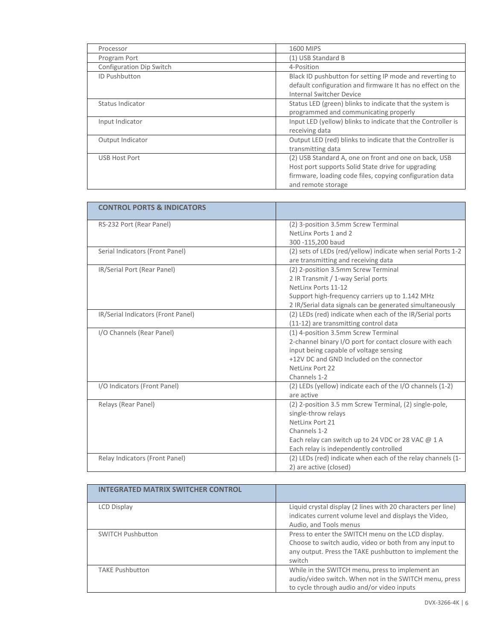| Processor                | 1600 MIPS                                                                                                                                                                                     |
|--------------------------|-----------------------------------------------------------------------------------------------------------------------------------------------------------------------------------------------|
| Program Port             | (1) USB Standard B                                                                                                                                                                            |
| Configuration Dip Switch | 4-Position                                                                                                                                                                                    |
| ID Pushbutton            | Black ID pushbutton for setting IP mode and reverting to<br>default configuration and firmware It has no effect on the<br><b>Internal Switcher Device</b>                                     |
| Status Indicator         | Status LED (green) blinks to indicate that the system is<br>programmed and communicating properly                                                                                             |
| Input Indicator          | Input LED (yellow) blinks to indicate that the Controller is<br>receiving data                                                                                                                |
| Output Indicator         | Output LED (red) blinks to indicate that the Controller is<br>transmitting data                                                                                                               |
| USB Host Port            | (2) USB Standard A, one on front and one on back, USB<br>Host port supports Solid State drive for upgrading<br>firmware, loading code files, copying configuration data<br>and remote storage |

| <b>CONTROL PORTS &amp; INDICATORS</b> |                                                                                                                                                                                                                          |
|---------------------------------------|--------------------------------------------------------------------------------------------------------------------------------------------------------------------------------------------------------------------------|
| RS-232 Port (Rear Panel)              | (2) 3-position 3.5mm Screw Terminal<br>NetLinx Ports 1 and 2<br>300 -115,200 baud                                                                                                                                        |
| Serial Indicators (Front Panel)       | (2) sets of LEDs (red/yellow) indicate when serial Ports 1-2<br>are transmitting and receiving data                                                                                                                      |
| IR/Serial Port (Rear Panel)           | (2) 2-position 3.5mm Screw Terminal<br>2 IR Transmit / 1-way Serial ports<br>NetLinx Ports 11-12<br>Support high-frequency carriers up to 1.142 MHz<br>2 IR/Serial data signals can be generated simultaneously          |
| IR/Serial Indicators (Front Panel)    | (2) LEDs (red) indicate when each of the IR/Serial ports<br>(11-12) are transmitting control data                                                                                                                        |
| I/O Channels (Rear Panel)             | (1) 4-position 3.5mm Screw Terminal<br>2-channel binary I/O port for contact closure with each<br>input being capable of voltage sensing<br>+12V DC and GND Included on the connector<br>NetLinx Port 22<br>Channels 1-2 |
| I/O Indicators (Front Panel)          | (2) LEDs (yellow) indicate each of the I/O channels (1-2)<br>are active                                                                                                                                                  |
| Relays (Rear Panel)                   | (2) 2-position 3.5 mm Screw Terminal, (2) single-pole,<br>single-throw relays<br>NetLinx Port 21<br>Channels 1-2<br>Each relay can switch up to 24 VDC or 28 VAC @ 1 A<br>Each relay is independently controlled         |
| Relay Indicators (Front Panel)        | (2) LEDs (red) indicate when each of the relay channels (1-<br>2) are active (closed)                                                                                                                                    |

| <b>INTEGRATED MATRIX SWITCHER CONTROL</b> |                                                                                                                                                                                   |
|-------------------------------------------|-----------------------------------------------------------------------------------------------------------------------------------------------------------------------------------|
| LCD Display                               | Liquid crystal display (2 lines with 20 characters per line)<br>indicates current volume level and displays the Video,<br>Audio, and Tools menus                                  |
| <b>SWITCH Pushbutton</b>                  | Press to enter the SWITCH menu on the LCD display.<br>Choose to switch audio, video or both from any input to<br>any output. Press the TAKE pushbutton to implement the<br>switch |
| <b>TAKE Pushbutton</b>                    | While in the SWITCH menu, press to implement an<br>audio/video switch. When not in the SWITCH menu, press<br>to cycle through audio and/or video inputs                           |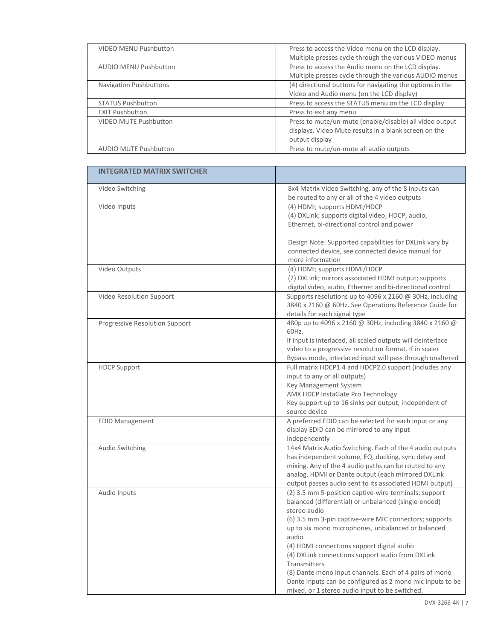| <b>VIDEO MENU Pushbutton</b>  | Press to access the Video menu on the LCD display.<br>Multiple presses cycle through the various VIDEO menus                       |
|-------------------------------|------------------------------------------------------------------------------------------------------------------------------------|
| <b>AUDIO MENU Pushbutton</b>  | Press to access the Audio menu on the LCD display.<br>Multiple presses cycle through the various AUDIO menus                       |
| <b>Navigation Pushbuttons</b> | (4) directional buttons for navigating the options in the<br>Video and Audio menu (on the LCD display)                             |
| <b>STATUS Pushbutton</b>      | Press to access the STATUS menu on the LCD display                                                                                 |
| <b>EXIT Pushbutton</b>        | Press to exit any menu                                                                                                             |
| <b>VIDEO MUTE Pushbutton</b>  | Press to mute/un-mute (enable/disable) all video output<br>displays. Video Mute results in a blank screen on the<br>output display |
| <b>AUDIO MUTE Pushbutton</b>  | Press to mute/un-mute all audio outputs                                                                                            |

| <b>INTEGRATED MATRIX SWITCHER</b> |                                                                                                                                                                                                                                                                                                                                                                                                                                                                                                                                                   |
|-----------------------------------|---------------------------------------------------------------------------------------------------------------------------------------------------------------------------------------------------------------------------------------------------------------------------------------------------------------------------------------------------------------------------------------------------------------------------------------------------------------------------------------------------------------------------------------------------|
| Video Switching                   | 8x4 Matrix Video Switching, any of the 8 inputs can<br>be routed to any or all of the 4 video outputs                                                                                                                                                                                                                                                                                                                                                                                                                                             |
| Video Inputs                      | (4) HDMI; supports HDMI/HDCP<br>(4) DXLink; supports digital video, HDCP, audio,<br>Ethernet, bi-directional control and power<br>Design Note: Supported capabilities for DXLink vary by<br>connected device, see connected device manual for<br>more information                                                                                                                                                                                                                                                                                 |
| Video Outputs                     | (4) HDMI; supports HDMI/HDCP<br>(2) DXLink; mirrors associated HDMI output; supports<br>digital video, audio, Ethernet and bi-directional control                                                                                                                                                                                                                                                                                                                                                                                                 |
| Video Resolution Support          | Supports resolutions up to 4096 x 2160 @ 30Hz, including<br>3840 x 2160 @ 60Hz. See Operations Reference Guide for<br>details for each signal type                                                                                                                                                                                                                                                                                                                                                                                                |
| Progressive Resolution Support    | 480p up to 4096 x 2160 @ 30Hz, including 3840 x 2160 @<br>60Hz.<br>If input is interlaced, all scaled outputs will deinterlace<br>video to a progressive resolution format. If in scaler<br>Bypass mode, interlaced input will pass through unaltered                                                                                                                                                                                                                                                                                             |
| <b>HDCP Support</b>               | Full matrix HDCP1.4 and HDCP2.0 support (includes any<br>input to any or all outputs)<br>Key Management System<br>AMX HDCP InstaGate Pro Technology<br>Key support up to 16 sinks per output, independent of<br>source device                                                                                                                                                                                                                                                                                                                     |
| <b>EDID Management</b>            | A preferred EDID can be selected for each input or any<br>display EDID can be mirrored to any input<br>independently                                                                                                                                                                                                                                                                                                                                                                                                                              |
| Audio Switching                   | 14x4 Matrix Audio Switching. Each of the 4 audio outputs<br>has independent volume, EQ, ducking, sync delay and<br>mixing. Any of the 4 audio paths can be routed to any<br>analog, HDMI or Dante output (each mirrored DXLink<br>output passes audio sent to its associated HDMI output)                                                                                                                                                                                                                                                         |
| Audio Inputs                      | (2) 3.5 mm 5-position captive-wire terminals; support<br>balanced (differential) or unbalanced (single-ended)<br>stereo audio<br>(6) 3.5 mm 3-pin captive-wire MIC connectors; supports<br>up to six mono microphones, unbalanced or balanced<br>audio<br>(4) HDMI connections support digital audio<br>(4) DXLink connections support audio from DXLink<br>Transmitters<br>(8) Dante mono input channels. Each of 4 pairs of mono<br>Dante inputs can be configured as 2 mono mic inputs to be<br>mixed, or 1 stereo audio input to be switched. |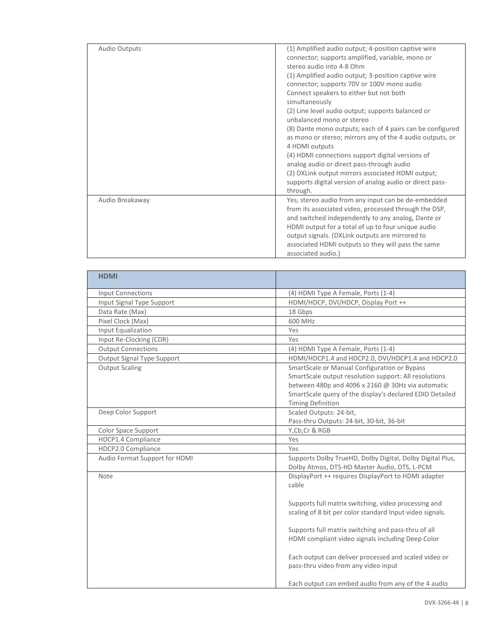| <b>Audio Outputs</b> | (1) Amplified audio output; 4-position captive wire                                                                                                                                                                                                                         |
|----------------------|-----------------------------------------------------------------------------------------------------------------------------------------------------------------------------------------------------------------------------------------------------------------------------|
|                      | connector; supports amplified, variable, mono or<br>stereo audio into 4-8 Ohm                                                                                                                                                                                               |
|                      | (1) Amplified audio output; 3-position captive wire                                                                                                                                                                                                                         |
|                      | connector; supports 70V or 100V mono audio<br>Connect speakers to either but not both                                                                                                                                                                                       |
|                      | simultaneously                                                                                                                                                                                                                                                              |
|                      | (2) Line level audio output; supports balanced or<br>unbalanced mono or stereo                                                                                                                                                                                              |
|                      | (8) Dante mono outputs; each of 4 pairs can be configured<br>as mono or stereo; mirrors any of the 4 audio outputs, or<br>4 HDMI outputs                                                                                                                                    |
|                      | (4) HDMI connections support digital versions of<br>analog audio or direct pass-through audio                                                                                                                                                                               |
|                      | (2) DXLink output mirrors associated HDMI output;                                                                                                                                                                                                                           |
|                      | supports digital version of analog audio or direct pass-<br>through.                                                                                                                                                                                                        |
| Audio Breakaway      | Yes, stereo audio from any input can be de-embedded<br>from its associated video, processed through the DSP,<br>and switched independently to any analog, Dante or<br>HDMI output for a total of up to four unique audio<br>output signals. (DXLink outputs are mirrored to |
|                      | associated HDMI outputs so they will pass the same<br>associated audio.)                                                                                                                                                                                                    |

| <b>HDMI</b>                   |                                                                                                                                                                                                                                                                                                                                                                                                                                                      |
|-------------------------------|------------------------------------------------------------------------------------------------------------------------------------------------------------------------------------------------------------------------------------------------------------------------------------------------------------------------------------------------------------------------------------------------------------------------------------------------------|
| <b>Input Connections</b>      | (4) HDMI Type A Female, Ports (1-4)                                                                                                                                                                                                                                                                                                                                                                                                                  |
| Input Signal Type Support     | HDMI/HDCP, DVI/HDCP, Display Port ++                                                                                                                                                                                                                                                                                                                                                                                                                 |
| Data Rate (Max)               | 18 Gbps                                                                                                                                                                                                                                                                                                                                                                                                                                              |
| Pixel Clock (Max)             | 600 MHz                                                                                                                                                                                                                                                                                                                                                                                                                                              |
| Input Equalization            | Yes                                                                                                                                                                                                                                                                                                                                                                                                                                                  |
| Input Re-Clocking (CDR)       | Yes                                                                                                                                                                                                                                                                                                                                                                                                                                                  |
| <b>Output Connections</b>     | (4) HDMI Type A Female, Ports (1-4)                                                                                                                                                                                                                                                                                                                                                                                                                  |
| Output Signal Type Support    | HDMI/HDCP1.4 and HDCP2.0, DVI/HDCP1.4 and HDCP2.0                                                                                                                                                                                                                                                                                                                                                                                                    |
| <b>Output Scaling</b>         | SmartScale or Manual Configuration or Bypass<br>SmartScale output resolution support: All resolutions<br>between 480p and 4096 x 2160 @ 30Hz via automatic<br>SmartScale query of the display's declared EDID Detailed<br><b>Timing Definition</b>                                                                                                                                                                                                   |
| Deep Color Support            | Scaled Outputs: 24-bit,<br>Pass-thru Outputs: 24-bit, 30-bit, 36-bit                                                                                                                                                                                                                                                                                                                                                                                 |
| Color Space Support           | Y, Cb, Cr & RGB                                                                                                                                                                                                                                                                                                                                                                                                                                      |
| HDCP1.4 Compliance            | Yes                                                                                                                                                                                                                                                                                                                                                                                                                                                  |
| HDCP2.0 Compliance            | Yes                                                                                                                                                                                                                                                                                                                                                                                                                                                  |
| Audio Format Support for HDMI | Supports Dolby TrueHD, Dolby Digital, Dolby Digital Plus,<br>Dolby Atmos, DTS-HD Master Audio, DTS, L-PCM                                                                                                                                                                                                                                                                                                                                            |
| Note                          | DisplayPort ++ requires DisplayPort to HDMI adapter<br>cable<br>Supports full matrix switching, video processing and<br>scaling of 8 bit per color standard Input video signals.<br>Supports full matrix switching and pass-thru of all<br>HDMI compliant video signals including Deep Color<br>Each output can deliver processed and scaled video or<br>pass-thru video from any video input<br>Each output can embed audio from any of the 4 audio |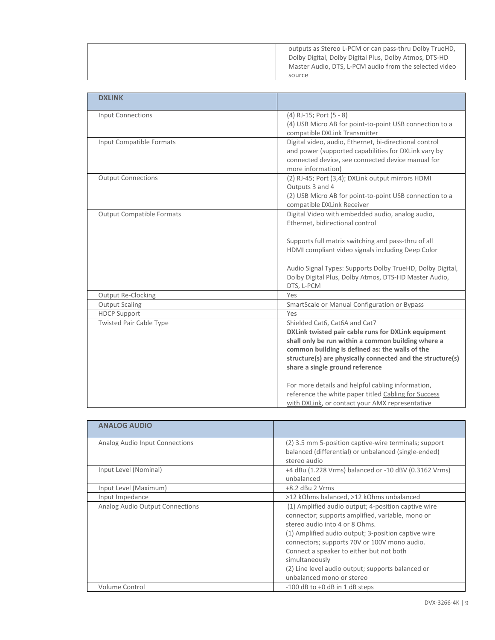| outputs as Stereo L-PCM or can pass-thru Dolby TrueHD,<br>Dolby Digital, Dolby Digital Plus, Dolby Atmos, DTS-HD |
|------------------------------------------------------------------------------------------------------------------|
| Master Audio, DTS, L-PCM audio from the selected video                                                           |
| source                                                                                                           |

| <b>DXLINK</b>                    |                                                                                                          |
|----------------------------------|----------------------------------------------------------------------------------------------------------|
|                                  |                                                                                                          |
| <b>Input Connections</b>         | $(4)$ RJ-15; Port $(5 - 8)$                                                                              |
|                                  | (4) USB Micro AB for point-to-point USB connection to a                                                  |
| Input Compatible Formats         | compatible DXLink Transmitter<br>Digital video, audio, Ethernet, bi-directional control                  |
|                                  | and power (supported capabilities for DXLink vary by                                                     |
|                                  | connected device, see connected device manual for                                                        |
|                                  | more information)                                                                                        |
| <b>Output Connections</b>        | (2) RJ-45; Port (3,4); DXLink output mirrors HDMI                                                        |
|                                  | Outputs 3 and 4                                                                                          |
|                                  | (2) USB Micro AB for point-to-point USB connection to a                                                  |
|                                  | compatible DXLink Receiver                                                                               |
| <b>Output Compatible Formats</b> | Digital Video with embedded audio, analog audio,                                                         |
|                                  | Ethernet, bidirectional control                                                                          |
|                                  |                                                                                                          |
|                                  | Supports full matrix switching and pass-thru of all<br>HDMI compliant video signals including Deep Color |
|                                  |                                                                                                          |
|                                  | Audio Signal Types: Supports Dolby TrueHD, Dolby Digital,                                                |
|                                  | Dolby Digital Plus, Dolby Atmos, DTS-HD Master Audio,                                                    |
|                                  | DTS, L-PCM                                                                                               |
| Output Re-Clocking               | Yes                                                                                                      |
| <b>Output Scaling</b>            | SmartScale or Manual Configuration or Bypass                                                             |
| <b>HDCP Support</b>              | Yes                                                                                                      |
| <b>Twisted Pair Cable Type</b>   | Shielded Cat6, Cat6A and Cat7                                                                            |
|                                  | DXLink twisted pair cable runs for DXLink equipment                                                      |
|                                  | shall only be run within a common building where a                                                       |
|                                  | common building is defined as: the walls of the                                                          |
|                                  | structure(s) are physically connected and the structure(s)<br>share a single ground reference            |
|                                  |                                                                                                          |
|                                  | For more details and helpful cabling information,                                                        |
|                                  | reference the white paper titled Cabling for Success                                                     |
|                                  | with DXLink, or contact your AMX representative                                                          |

| <b>ANALOG AUDIO</b>             |                                                       |
|---------------------------------|-------------------------------------------------------|
|                                 |                                                       |
| Analog Audio Input Connections  | (2) 3.5 mm 5-position captive-wire terminals; support |
|                                 | balanced (differential) or unbalanced (single-ended)  |
|                                 | stereo audio                                          |
| Input Level (Nominal)           | +4 dBu (1.228 Vrms) balanced or -10 dBV (0.3162 Vrms) |
|                                 | unbalanced                                            |
| Input Level (Maximum)           | $+8.2$ dBu 2 Vrms                                     |
| Input Impedance                 | >12 kOhms balanced, >12 kOhms unbalanced              |
| Analog Audio Output Connections | (1) Amplified audio output; 4-position captive wire   |
|                                 | connector; supports amplified, variable, mono or      |
|                                 | stereo audio into 4 or 8 Ohms.                        |
|                                 | (1) Amplified audio output; 3-position captive wire   |
|                                 | connectors; supports 70V or 100V mono audio.          |
|                                 | Connect a speaker to either but not both              |
|                                 | simultaneously                                        |
|                                 | (2) Line level audio output; supports balanced or     |
|                                 | unbalanced mono or stereo                             |
|                                 |                                                       |
| Volume Control                  | $-100$ dB to $+0$ dB in 1 dB steps                    |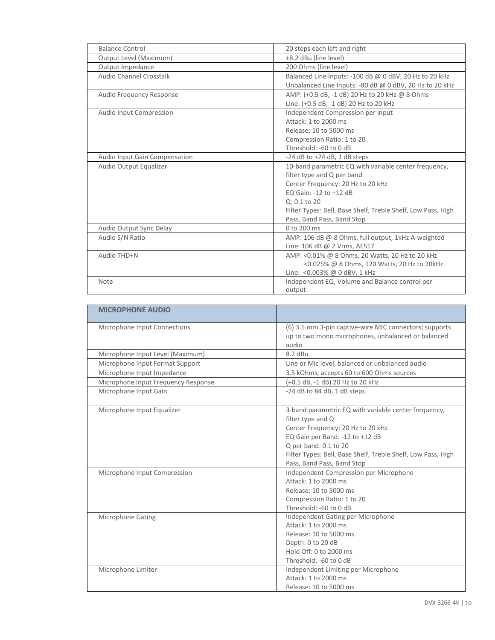| <b>Balance Control</b>          | 20 steps each left and right                                 |
|---------------------------------|--------------------------------------------------------------|
| Output Level (Maximum)          | +8.2 dBu (line level)                                        |
| Output Impedance                | 200 Ohms (line level)                                        |
| Audio Channel Crosstalk         | Balanced Line Inputs: -100 dB @ 0 dBV, 20 Hz to 20 kHz       |
|                                 | Unbalanced Line Inputs: - 80 dB @ 0 dBV, 20 Hz to 20 kHz     |
| <b>Audio Frequency Response</b> | AMP: (+0.5 dB, -1 dB) 20 Hz to 20 kHz @ 8 Ohms               |
|                                 | Line: (+0.5 dB, -1 dB) 20 Hz to 20 kHz                       |
| Audio Input Compression         | Independent Compression per input                            |
|                                 | Attack: 1 to 2000 ms                                         |
|                                 | Release: 10 to 5000 ms                                       |
|                                 | Compression Ratio: 1 to 20                                   |
|                                 | Threshold: -60 to 0 dB                                       |
| Audio Input Gain Compensation   | $-24$ dB to $+24$ dB, 1 dB steps                             |
| Audio Output Equalizer          | 10-band parametric EQ with variable center frequency,        |
|                                 | filter type and Q per band                                   |
|                                 | Center Frequency: 20 Hz to 20 kHz                            |
|                                 | EO Gain: -12 to +12 dB                                       |
|                                 | $Q: 0.1$ to 20                                               |
|                                 | Filter Types: Bell, Base Shelf, Treble Shelf, Low Pass, High |
|                                 | Pass, Band Pass, Band Stop                                   |
| Audio Output Sync Delay         | 0 to 200 ms                                                  |
| Audio S/N Ratio                 | AMP: 106 dB @ 8 Ohms, full output, 1kHz A-weighted           |
|                                 | Line: 106 dB @ 2 Vrms, AES17                                 |
| Audio THD+N                     | AMP: <0.01% @ 8 Ohms, 20 Watts, 20 Hz to 20 kHz              |
|                                 | <0.025% @ 8 Ohms, 120 Watts, 20 Hz to 20kHz                  |
|                                 | Line: < 0.003% @ 0 dBV, 1 kHz                                |
| Note                            | Independent EQ, Volume and Balance control per               |
|                                 | output                                                       |

| <b>MICROPHONE AUDIO</b>             |                                                                                                                                                                                                                                                                          |
|-------------------------------------|--------------------------------------------------------------------------------------------------------------------------------------------------------------------------------------------------------------------------------------------------------------------------|
| Microphone Input Connections        | (6) 3.5 mm 3-pin captive-wire MIC connectors; supports<br>up to two mono microphones, unbalanced or balanced<br>audio                                                                                                                                                    |
| Microphone Input Level (Maximum)    | $8.2$ dBu                                                                                                                                                                                                                                                                |
| Microphone Input Format Support     | Line or Mic level, balanced or unbalanced audio                                                                                                                                                                                                                          |
| Microphone Input Impedance          | 3.5 kOhms, accepts 60 to 600 Ohms sources                                                                                                                                                                                                                                |
| Microphone Input Frequency Response | (+0.5 dB, -1 dB) 20 Hz to 20 kHz                                                                                                                                                                                                                                         |
| Microphone Input Gain               | -24 dB to 84 dB, 1 dB steps                                                                                                                                                                                                                                              |
| Microphone Input Equalizer          | 3-band parametric EQ with variable center frequency,<br>filter type and Q<br>Center Frequency: 20 Hz to 20 kHz<br>EQ Gain per Band: -12 to +12 dB<br>Q per band: 0.1 to 20<br>Filter Types: Bell, Base Shelf, Treble Shelf, Low Pass, High<br>Pass, Band Pass, Band Stop |
| Microphone Input Compression        | Independent Compression per Microphone<br>Attack: 1 to 2000 ms<br>Release: 10 to 5000 ms<br>Compression Ratio: 1 to 20<br>Threshold: -60 to 0 dB                                                                                                                         |
| Microphone Gating                   | Independent Gating per Microphone<br>Attack: 1 to 2000 ms<br>Release: 10 to 5000 ms<br>Depth: 0 to 20 dB<br>Hold Off: 0 to 2000 ms<br>Threshold: -60 to 0 dB                                                                                                             |
| Microphone Limiter                  | Independent Limiting per Microphone<br>Attack: 1 to 2000 ms<br>Release: 10 to 5000 ms                                                                                                                                                                                    |